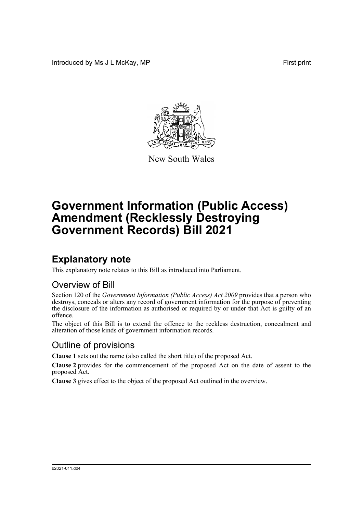Introduced by Ms J L McKay, MP **First** print



New South Wales

# **Government Information (Public Access) Amendment (Recklessly Destroying Government Records) Bill 2021**

## **Explanatory note**

This explanatory note relates to this Bill as introduced into Parliament.

#### Overview of Bill

Section 120 of the *Government Information (Public Access) Act 2009* provides that a person who destroys, conceals or alters any record of government information for the purpose of preventing the disclosure of the information as authorised or required by or under that Act is guilty of an offence.

The object of this Bill is to extend the offence to the reckless destruction, concealment and alteration of those kinds of government information records.

#### Outline of provisions

**Clause 1** sets out the name (also called the short title) of the proposed Act.

**Clause 2** provides for the commencement of the proposed Act on the date of assent to the proposed Act.

**Clause 3** gives effect to the object of the proposed Act outlined in the overview.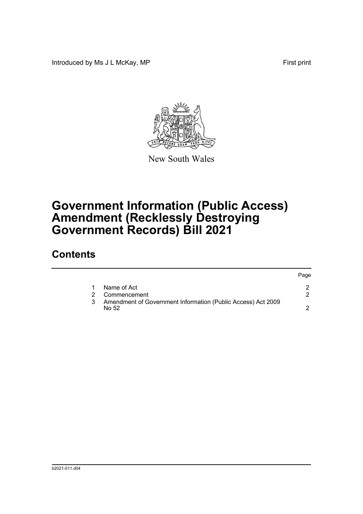Introduced by Ms J L McKay, MP **First** print



New South Wales

# **Government Information (Public Access) Amendment (Recklessly Destroying Government Records) Bill 2021**

### **Contents**

|  |                                                                       | Page |
|--|-----------------------------------------------------------------------|------|
|  | Name of Act                                                           |      |
|  | Commencement                                                          |      |
|  | Amendment of Government Information (Public Access) Act 2009<br>No 52 |      |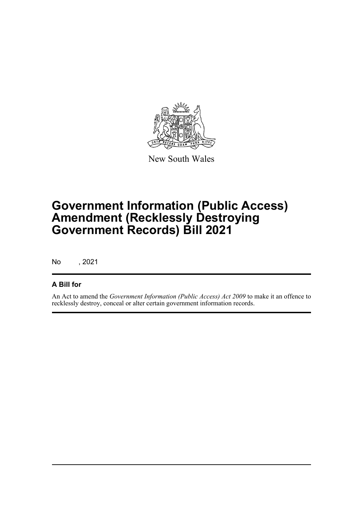

New South Wales

# **Government Information (Public Access) Amendment (Recklessly Destroying Government Records) Bill 2021**

No , 2021

#### **A Bill for**

An Act to amend the *Government Information (Public Access) Act 2009* to make it an offence to recklessly destroy, conceal or alter certain government information records.